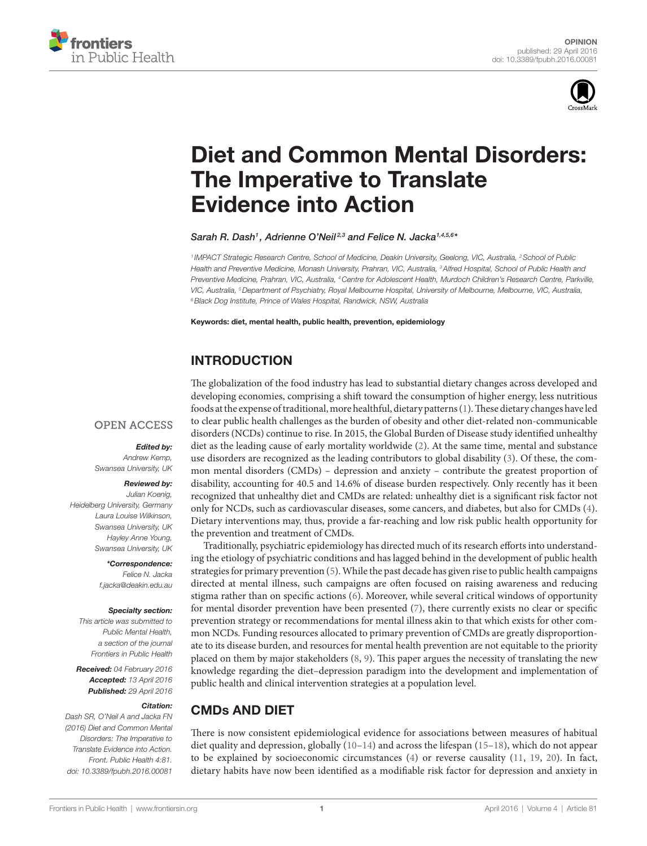



# [Diet and Common Mental Disorders:](http://www.frontiersin.org/Journal/10.3389/fpubh.2016.00081/abstract)  The Imperative to Translate [Evidence into Action](http://www.frontiersin.org/Journal/10.3389/fpubh.2016.00081/abstract)

*[Sarah R. Dash](http://loop.frontiersin.org/people/291171/overview)1 , Adrienne O'Neil 2,3 and [Felice N. Jacka1](http://loop.frontiersin.org/people/210213/overview),4,5,6 \**

*<sup>1</sup> IMPACT Strategic Research Centre, School of Medicine, Deakin University, Geelong, VIC, Australia, 2School of Public Health and Preventive Medicine, Monash University, Prahran, VIC, Australia, 3Alfred Hospital, School of Public Health and Preventive Medicine, Prahran, VIC, Australia, 4Centre for Adolescent Health, Murdoch Children's Research Centre, Parkville, VIC, Australia, 5Department of Psychiatry, Royal Melbourne Hospital, University of Melbourne, Melbourne, VIC, Australia, 6Black Dog Institute, Prince of Wales Hospital, Randwick, NSW, Australia*

Keywords: diet, mental health, public health, prevention, epidemiology

### INTRODUCTION

#### **OPEN ACCESS**

#### *Edited by:*

*Andrew Kemp, Swansea University, UK*

#### *Reviewed by:*

*Julian Koenig, Heidelberg University, Germany Laura Louise Wilkinson, Swansea University, UK Hayley Anne Young, Swansea University, UK*

> *\*Correspondence: Felice N. Jacka [f.jacka@deakin.edu.au](mailto:f.jacka@deakin.edu.au)*

#### *Specialty section:*

*This article was submitted to Public Mental Health, a section of the journal Frontiers in Public Health*

*Received: 04 February 2016 Accepted: 13 April 2016 Published: 29 April 2016*

#### *Citation:*

*Dash SR, O'Neil A and Jacka FN (2016) Diet and Common Mental Disorders: The Imperative to Translate Evidence into Action. Front. Public Health 4:81. doi: [10.3389/fpubh.2016.00081](http://dx.doi.org/10.3389/fpubh.2016.00081)* The globalization of the food industry has lead to substantial dietary changes across developed and developing economies, comprising a shift toward the consumption of higher energy, less nutritious foods at the expense of traditional, more healthful, dietary patterns ([1](#page-2-0)). These dietary changes have led to clear public health challenges as the burden of obesity and other diet-related non-communicable disorders (NCDs) continue to rise. In 2015, the Global Burden of Disease study identified unhealthy diet as the leading cause of early mortality worldwide [\(2\)](#page-2-1). At the same time, mental and substance use disorders are recognized as the leading contributors to global disability ([3](#page-2-2)). Of these, the common mental disorders (CMDs) – depression and anxiety – contribute the greatest proportion of disability, accounting for 40.5 and 14.6% of disease burden respectively. Only recently has it been recognized that unhealthy diet and CMDs are related: unhealthy diet is a significant risk factor not only for NCDs, such as cardiovascular diseases, some cancers, and diabetes, but also for CMDs ([4](#page-2-3)). Dietary interventions may, thus, provide a far-reaching and low risk public health opportunity for the prevention and treatment of CMDs.

Traditionally, psychiatric epidemiology has directed much of its research efforts into understanding the etiology of psychiatric conditions and has lagged behind in the development of public health strategies for primary prevention ([5](#page-2-4)). While the past decade has given rise to public health campaigns directed at mental illness, such campaigns are often focused on raising awareness and reducing stigma rather than on specific actions [\(6\)](#page-2-5). Moreover, while several critical windows of opportunity for mental disorder prevention have been presented  $(7)$ , there currently exists no clear or specific prevention strategy or recommendations for mental illness akin to that which exists for other common NCDs. Funding resources allocated to primary prevention of CMDs are greatly disproportionate to its disease burden, and resources for mental health prevention are not equitable to the priority placed on them by major stakeholders [\(8,](#page-2-7) [9\)](#page-2-8). This paper argues the necessity of translating the new knowledge regarding the diet–depression paradigm into the development and implementation of public health and clinical intervention strategies at a population level.

### CMDs AND DIET

There is now consistent epidemiological evidence for associations between measures of habitual diet quality and depression, globally [\(10](#page-2-9)[–14\)](#page-2-10) and across the lifespan [\(15](#page-2-11)[–18\)](#page-2-12), which do not appear to be explained by socioeconomic circumstances [\(4\)](#page-2-3) or reverse causality ([11,](#page-2-13) [19,](#page-2-14) [20](#page-2-15)). In fact, dietary habits have now been identified as a modifiable risk factor for depression and anxiety in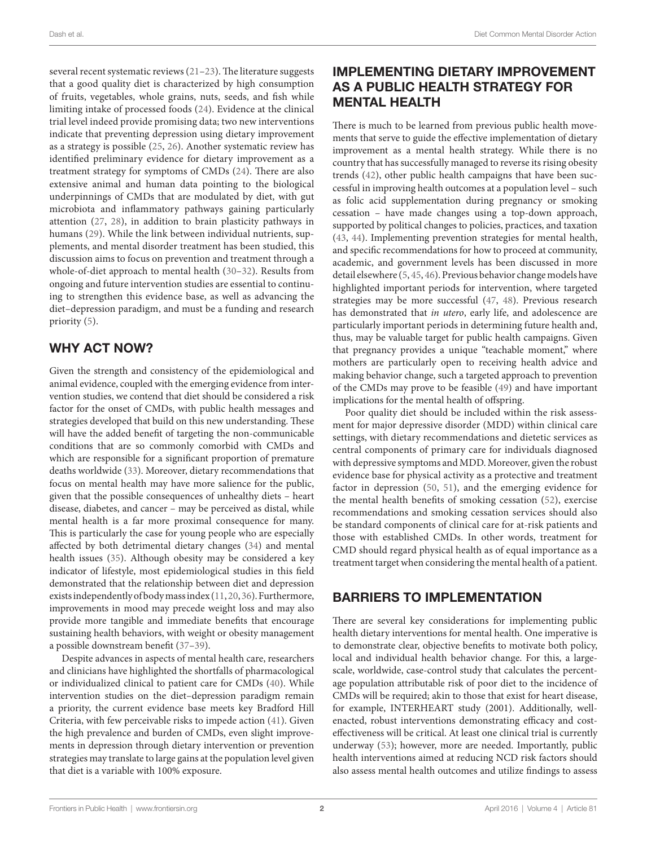several recent systematic reviews [\(21–](#page-2-16)[23\)](#page-2-17). The literature suggests that a good quality diet is characterized by high consumption of fruits, vegetables, whole grains, nuts, seeds, and fish while limiting intake of processed foods [\(24\)](#page-3-0). Evidence at the clinical trial level indeed provide promising data; two new interventions indicate that preventing depression using dietary improvement as a strategy is possible [\(25](#page-3-1), [26](#page-3-2)). Another systematic review has identified preliminary evidence for dietary improvement as a treatment strategy for symptoms of CMDs [\(24](#page-3-0)). There are also extensive animal and human data pointing to the biological underpinnings of CMDs that are modulated by diet, with gut microbiota and inflammatory pathways gaining particularly attention ([27](#page-3-3), [28](#page-3-4)), in addition to brain plasticity pathways in humans ([29\)](#page-3-5). While the link between individual nutrients, supplements, and mental disorder treatment has been studied, this discussion aims to focus on prevention and treatment through a whole-of-diet approach to mental health [\(30–](#page-3-6)[32\)](#page-3-7). Results from ongoing and future intervention studies are essential to continuing to strengthen this evidence base, as well as advancing the diet–depression paradigm, and must be a funding and research priority [\(5](#page-2-4)).

## WHY ACT NOW?

Given the strength and consistency of the epidemiological and animal evidence, coupled with the emerging evidence from intervention studies, we contend that diet should be considered a risk factor for the onset of CMDs, with public health messages and strategies developed that build on this new understanding. These will have the added benefit of targeting the non-communicable conditions that are so commonly comorbid with CMDs and which are responsible for a significant proportion of premature deaths worldwide [\(33](#page-3-8)). Moreover, dietary recommendations that focus on mental health may have more salience for the public, given that the possible consequences of unhealthy diets – heart disease, diabetes, and cancer – may be perceived as distal, while mental health is a far more proximal consequence for many. This is particularly the case for young people who are especially affected by both detrimental dietary changes ([34\)](#page-3-9) and mental health issues ([35\)](#page-3-10). Although obesity may be considered a key indicator of lifestyle, most epidemiological studies in this field demonstrated that the relationship between diet and depression exists independently of body mass index ([11,](#page-2-13) [20](#page-2-15), [36](#page-3-11)). Furthermore, improvements in mood may precede weight loss and may also provide more tangible and immediate benefits that encourage sustaining health behaviors, with weight or obesity management a possible downstream benefit [\(37](#page-3-12)[–39](#page-3-13)).

Despite advances in aspects of mental health care, researchers and clinicians have highlighted the shortfalls of pharmacological or individualized clinical to patient care for CMDs [\(40](#page-3-14)). While intervention studies on the diet–depression paradigm remain a priority, the current evidence base meets key Bradford Hill Criteria, with few perceivable risks to impede action [\(41\)](#page-3-15). Given the high prevalence and burden of CMDs, even slight improvements in depression through dietary intervention or prevention strategies may translate to large gains at the population level given that diet is a variable with 100% exposure.

## IMPLEMENTING DIETARY IMPROVEMENT AS A PUBLIC HEALTH STRATEGY FOR MENTAL HEALTH

There is much to be learned from previous public health movements that serve to guide the effective implementation of dietary improvement as a mental health strategy. While there is no country that has successfully managed to reverse its rising obesity trends [\(42\)](#page-3-16), other public health campaigns that have been successful in improving health outcomes at a population level – such as folic acid supplementation during pregnancy or smoking cessation – have made changes using a top-down approach, supported by political changes to policies, practices, and taxation [\(43,](#page-3-17) [44\)](#page-3-18). Implementing prevention strategies for mental health, and specific recommendations for how to proceed at community, academic, and government levels has been discussed in more detail elsewhere [\(5,](#page-2-4) [45](#page-3-19), [46](#page-3-20)). Previous behavior change models have highlighted important periods for intervention, where targeted strategies may be more successful ([47,](#page-3-21) [48\)](#page-3-22). Previous research has demonstrated that *in utero*, early life, and adolescence are particularly important periods in determining future health and, thus, may be valuable target for public health campaigns. Given that pregnancy provides a unique "teachable moment," where mothers are particularly open to receiving health advice and making behavior change, such a targeted approach to prevention of the CMDs may prove to be feasible ([49](#page-3-23)) and have important implications for the mental health of offspring.

Poor quality diet should be included within the risk assessment for major depressive disorder (MDD) within clinical care settings, with dietary recommendations and dietetic services as central components of primary care for individuals diagnosed with depressive symptoms and MDD. Moreover, given the robust evidence base for physical activity as a protective and treatment factor in depression ([50](#page-3-24), [51](#page-3-25)), and the emerging evidence for the mental health benefits of smoking cessation [\(52\)](#page-3-26), exercise recommendations and smoking cessation services should also be standard components of clinical care for at-risk patients and those with established CMDs. In other words, treatment for CMD should regard physical health as of equal importance as a treatment target when considering the mental health of a patient.

### BARRIERS TO IMPLEMENTATION

There are several key considerations for implementing public health dietary interventions for mental health. One imperative is to demonstrate clear, objective benefits to motivate both policy, local and individual health behavior change. For this, a largescale, worldwide, case-control study that calculates the percentage population attributable risk of poor diet to the incidence of CMDs will be required; akin to those that exist for heart disease, for example, INTERHEART study (2001). Additionally, wellenacted, robust interventions demonstrating efficacy and costeffectiveness will be critical. At least one clinical trial is currently underway ([53\)](#page-3-27); however, more are needed. Importantly, public health interventions aimed at reducing NCD risk factors should also assess mental health outcomes and utilize findings to assess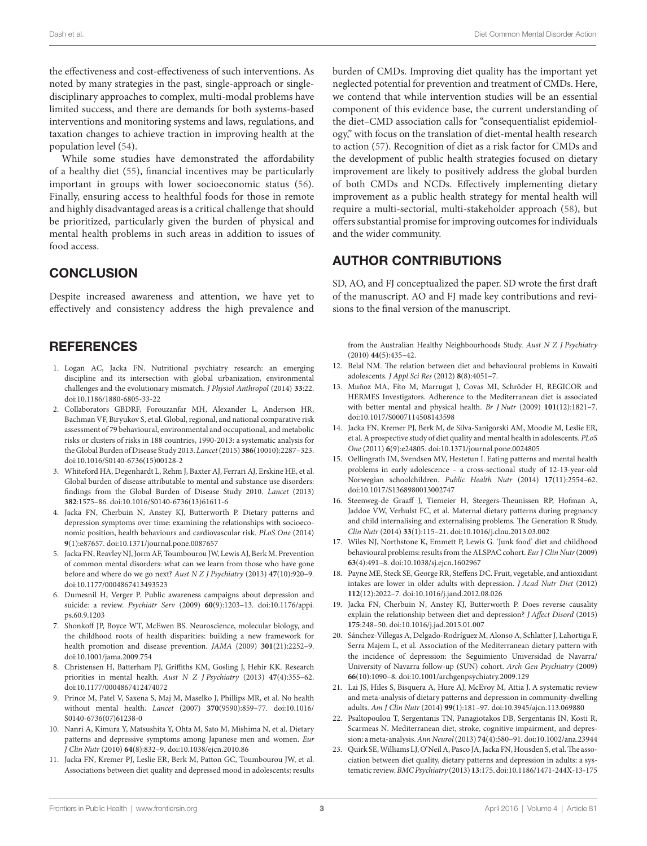the effectiveness and cost-effectiveness of such interventions. As noted by many strategies in the past, single-approach or singledisciplinary approaches to complex, multi-modal problems have limited success, and there are demands for both systems-based interventions and monitoring systems and laws, regulations, and taxation changes to achieve traction in improving health at the population level ([54\)](#page-3-28).

While some studies have demonstrated the affordability of a healthy diet [\(55\)](#page-3-29), financial incentives may be particularly important in groups with lower socioeconomic status [\(56\)](#page-3-30). Finally, ensuring access to healthful foods for those in remote and highly disadvantaged areas is a critical challenge that should be prioritized, particularly given the burden of physical and mental health problems in such areas in addition to issues of food access.

#### **CONCLUSION**

Despite increased awareness and attention, we have yet to effectively and consistency address the high prevalence and

#### **REFERENCES**

- <span id="page-2-0"></span>1. Logan AC, Jacka FN. Nutritional psychiatry research: an emerging discipline and its intersection with global urbanization, environmental challenges and the evolutionary mismatch. *J Physiol Anthropol* (2014) **33**:22. doi:[10.1186/1880-6805-33-22](http://dx.doi.org/10.1186/1880-6805-33-22)
- <span id="page-2-1"></span>2. Collaborators GBDRF, Forouzanfar MH, Alexander L, Anderson HR, Bachman VF, Biryukov S, et al. Global, regional, and national comparative risk assessment of 79 behavioural, environmental and occupational, and metabolic risks or clusters of risks in 188 countries, 1990-2013: a systematic analysis for the Global Burden of Disease Study 2013. *Lancet* (2015) **386**(10010):2287–323. doi:[10.1016/S0140-6736\(15\)00128-2](http://dx.doi.org/10.1016/S0140-6736(15)00128-2)
- <span id="page-2-2"></span>3. Whiteford HA, Degenhardt L, Rehm J, Baxter AJ, Ferrari AJ, Erskine HE, et al. Global burden of disease attributable to mental and substance use disorders: findings from the Global Burden of Disease Study 2010. *Lancet* (2013) **382**:1575–86. doi:[10.1016/S0140-6736\(13\)61611-6](http://dx.doi.org/10.1016/S0140-6736(13)61611-6)
- <span id="page-2-3"></span>4. Jacka FN, Cherbuin N, Anstey KJ, Butterworth P. Dietary patterns and depression symptoms over time: examining the relationships with socioeconomic position, health behaviours and cardiovascular risk. *PLoS One* (2014) **9**(1):e87657. doi:[10.1371/journal.pone.0087657](http://dx.doi.org/10.1371/journal.pone.0087657)
- <span id="page-2-4"></span>5. Jacka FN, Reavley NJ, Jorm AF, Toumbourou JW, Lewis AJ, Berk M. Prevention of common mental disorders: what can we learn from those who have gone before and where do we go next? *Aust N Z J Psychiatry* (2013) **47**(10):920–9. doi:[10.1177/0004867413493523](http://dx.doi.org/10.1177/0004867413493523)
- <span id="page-2-5"></span>6. Dumesnil H, Verger P. Public awareness campaigns about depression and suicide: a review. *Psychiatr Serv* (2009) **60**(9):1203–13. doi:[10.1176/appi.](http://dx.doi.org/10.1176/appi.ps.60.9.1203) [ps.60.9.1203](http://dx.doi.org/10.1176/appi.ps.60.9.1203)
- <span id="page-2-6"></span>7. Shonkoff JP, Boyce WT, McEwen BS. Neuroscience, molecular biology, and the childhood roots of health disparities: building a new framework for health promotion and disease prevention. *JAMA* (2009) **301**(21):2252–9. doi:[10.1001/jama.2009.754](http://dx.doi.org/10.1001/jama.2009.754)
- <span id="page-2-7"></span>8. Christensen H, Batterham PJ, Griffiths KM, Gosling J, Hehir KK. Research priorities in mental health. *Aust N Z J Psychiatry* (2013) **47**(4):355–62. doi:[10.1177/0004867412474072](http://dx.doi.org/10.1177/0004867412474072)
- <span id="page-2-8"></span>9. Prince M, Patel V, Saxena S, Maj M, Maselko J, Phillips MR, et al. No health without mental health. *Lancet* (2007) **370**(9590):859–77. doi[:10.1016/](http://dx.doi.org/10.1016/S0140-6736(07)61238-0) [S0140-6736\(07\)61238-0](http://dx.doi.org/10.1016/S0140-6736(07)61238-0)
- <span id="page-2-9"></span>10. Nanri A, Kimura Y, Matsushita Y, Ohta M, Sato M, Mishima N, et al. Dietary patterns and depressive symptoms among Japanese men and women. *Eur J Clin Nutr* (2010) **64**(8):832–9. doi:[10.1038/ejcn.2010.86](http://dx.doi.org/10.1038/ejcn.2010.86)
- <span id="page-2-13"></span>11. Jacka FN, Kremer PJ, Leslie ER, Berk M, Patton GC, Toumbourou JW, et al. Associations between diet quality and depressed mood in adolescents: results

burden of CMDs. Improving diet quality has the important yet neglected potential for prevention and treatment of CMDs. Here, we contend that while intervention studies will be an essential component of this evidence base, the current understanding of the diet–CMD association calls for "consequentialist epidemiology," with focus on the translation of diet-mental health research to action [\(57](#page-3-31)). Recognition of diet as a risk factor for CMDs and the development of public health strategies focused on dietary improvement are likely to positively address the global burden of both CMDs and NCDs. Effectively implementing dietary improvement as a public health strategy for mental health will require a multi-sectorial, multi-stakeholder approach [\(58](#page-3-32)), but offers substantial promise for improving outcomes for individuals and the wider community.

#### AUTHOR CONTRIBUTIONS

SD, AO, and FJ conceptualized the paper. SD wrote the first draft of the manuscript. AO and FJ made key contributions and revisions to the final version of the manuscript.

from the Australian Healthy Neighbourhoods Study. *Aust N Z J Psychiatry* (2010) **44**(5):435–42.

- 12. Belal NM. The relation between diet and behavioural problems in Kuwaiti adolescents. *J Appl Sci Res* (2012) **8**(8):4051–7.
- 13. Muñoz MA, Fíto M, Marrugat J, Covas MI, Schröder H, REGICOR and HERMES Investigators. Adherence to the Mediterranean diet is associated with better mental and physical health. *Br J Nutr* (2009) **101**(12):1821–7. doi:[10.1017/S0007114508143598](http://dx.doi.org/10.1017/S0007114508143598)
- <span id="page-2-10"></span>14. Jacka FN, Kremer PJ, Berk M, de Silva-Sanigorski AM, Moodie M, Leslie ER, et al. A prospective study of diet quality and mental health in adolescents. *PLoS One* (2011) **6**(9):e24805. doi:[10.1371/journal.pone.0024805](http://dx.doi.org/10.1371/journal.pone.0024805)
- <span id="page-2-11"></span>15. Oellingrath IM, Svendsen MV, Hestetun I. Eating patterns and mental health problems in early adolescence – a cross-sectional study of 12-13-year-old Norwegian schoolchildren. *Public Health Nutr* (2014) **17**(11):2554–62. doi:[10.1017/S1368980013002747](http://dx.doi.org/10.1017/S1368980013002747)
- 16. Steenweg-de Graaff J, Tiemeier H, Steegers-Theunissen RP, Hofman A, Jaddoe VW, Verhulst FC, et al. Maternal dietary patterns during pregnancy and child internalising and externalising problems*.* The Generation R Study. *Clin Nutr* (2014) **33**(1):115–21. doi:[10.1016/j.clnu.2013.03.002](http://dx.doi.org/10.1016/j.clnu.2013.03.002)
- 17. Wiles NJ, Northstone K, Emmett P, Lewis G. 'Junk food' diet and childhood behavioural problems: results from the ALSPAC cohort. *Eur J Clin Nutr* (2009) **63**(4):491–8. doi[:10.1038/sj.ejcn.1602967](http://dx.doi.org/10.1038/sj.ejcn.1602967)
- <span id="page-2-12"></span>18. Payne ME, Steck SE, George RR, Steffens DC. Fruit, vegetable, and antioxidant intakes are lower in older adults with depression. *J Acad Nutr Diet* (2012) **112**(12):2022–7. doi[:10.1016/j.jand.2012.08.026](http://dx.doi.org/10.1016/j.jand.2012.08.026)
- <span id="page-2-14"></span>19. Jacka FN, Cherbuin N, Anstey KJ, Butterworth P. Does reverse causality explain the relationship between diet and depression? *J Affect Disord* (2015) **175**:248–50. doi:[10.1016/j.jad.2015.01.007](http://dx.doi.org/10.1016/j.jad.2015.01.007)
- <span id="page-2-15"></span>20. Sánchez-Villegas A, Delgado-Rodríguez M, Alonso A, Schlatter J, Lahortiga F, Serra Majem L, et al. Association of the Mediterranean dietary pattern with the incidence of depression: the Seguimiento Universidad de Navarra/ University of Navarra follow-up (SUN) cohort. *Arch Gen Psychiatry* (2009) **66**(10):1090–8. doi[:10.1001/archgenpsychiatry.2009.129](http://dx.doi.org/10.1001/archgenpsychiatry.2009.129)
- <span id="page-2-16"></span>21. Lai JS, Hiles S, Bisquera A, Hure AJ, McEvoy M, Attia J. A systematic review and meta-analysis of dietary patterns and depression in community-dwelling adults. *Am J Clin Nutr* (2014) **99**(1):181–97. doi:[10.3945/ajcn.113.069880](http://dx.doi.org/10.3945/ajcn.113.069880)
- 22. Psaltopoulou T, Sergentanis TN, Panagiotakos DB, Sergentanis IN, Kosti R, Scarmeas N. Mediterranean diet, stroke, cognitive impairment, and depression: a meta-analysis. *Ann Neurol* (2013) **74**(4):580–91. doi:[10.1002/ana.23944](http://dx.doi.org/10.1002/ana.23944)
- <span id="page-2-17"></span>23. Quirk SE, Williams LJ, O'Neil A, Pasco JA, Jacka FN, Housden S, et al. The association between diet quality, dietary patterns and depression in adults: a systematic review. *BMC Psychiatry* (2013) **13**:175. doi[:10.1186/1471-244X-13-175](http://dx.doi.org/10.1186/1471-244X-13-175)